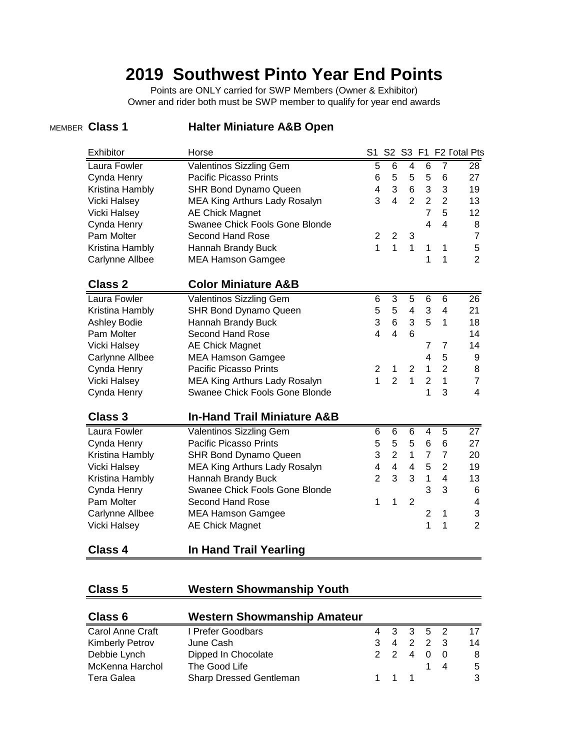# **2019 Southwest Pinto Year End Points**

Points are ONLY carried for SWP Members (Owner & Exhibitor) Owner and rider both must be SWP member to qualify for year end awards

MEMBER **Class 1 Halter Miniature A&B Open**

#### Exhibitor Horse Horse Horse S1 S2 S3 F1 F2 Total Pts Laura Fowler Valentinos Sizzling Gem 5 6 4 6 7 28 Cynda Henry Pacific Picasso Prints 6 5 5 5 6 27 Kristina Hambly SHR Bond Dynamo Queen 4 3 6 3 3 19 Vicki Halsey **MEA King Arthurs Lady Rosalyn** 3 4 2 2 2 13 Vicki Halsey AE Chick Magnet 7 5 12 Cynda Henry Swanee Chick Fools Gone Blonde 4 4 8 Pam Molter Second Hand Rose 1982 2 3 7 Kristina Hambly Hannah Brandy Buck 1 1 1 1 1 1 1 5 Carlynne Allbee MEA Hamson Gamgee 1 1 1 2 **Class 2 Color Miniature A&B** Laura Fowler Valentinos Sizzling Gem 6 3 5 6 6 26 Kristina Hambly SHR Bond Dynamo Queen 5 5 4 3 4 21 Ashley Bodie Hannah Brandy Buck 3 6 3 5 1 18 Pam Molter Second Hand Rose **4 4 6** 14 Vicki Halsey AE Chick Magnet 7 7 14 Carlynne Allbee MEA Hamson Gamgee 4 5 9 Cynda Henry Pacific Picasso Prints 2 1 2 1 2 8 Vicki Halsey MEA King Arthurs Lady Rosalyn 1 2 1 2 1 7 Cynda Henry Swanee Chick Fools Gone Blonde 1 3 4 **Class 3 In-Hand Trail Miniature A&B** Laura Fowler Valentinos Sizzling Gem 6 6 6 6 4 5 27 Cynda Henry Pacific Picasso Prints 5 5 5 6 6 27 Kristina Hambly SHR Bond Dynamo Queen 3 2 1 7 7 20 Vicki Halsey MEA King Arthurs Lady Rosalyn 4 4 4 5 2 19 Kristina Hambly Hannah Brandy Buck 12 3 3 4 4 13 Cynda Henry Swanee Chick Fools Gone Blonde 3 3 6 Pam Molter Second Hand Rose 1 1 2 4 Carlynne Allbee MEA Hamson Gamgee 2 1 3 Vicki Halsey **AE Chick Magnet** 1 1 2 **Class 4 In Hand Trail Yearling Class 5 Western Showmanship Youth**

| <b>Class 6</b>         | <b>Western Showmanship Amateur</b> |           |  |   |    |
|------------------------|------------------------------------|-----------|--|---|----|
| Carol Anne Craft       | I Prefer Goodbars                  | 4 3 3 5 2 |  |   | 17 |
| <b>Kimberly Petrov</b> | June Cash                          | 3 4 2 2 3 |  |   | 14 |
| Debbie Lynch           | Dipped In Chocolate                | 2 2 4 0   |  |   | 8  |
| McKenna Harchol        | The Good Life                      |           |  | 4 | 5  |
| Tera Galea             | Sharp Dressed Gentleman            |           |  |   | 3  |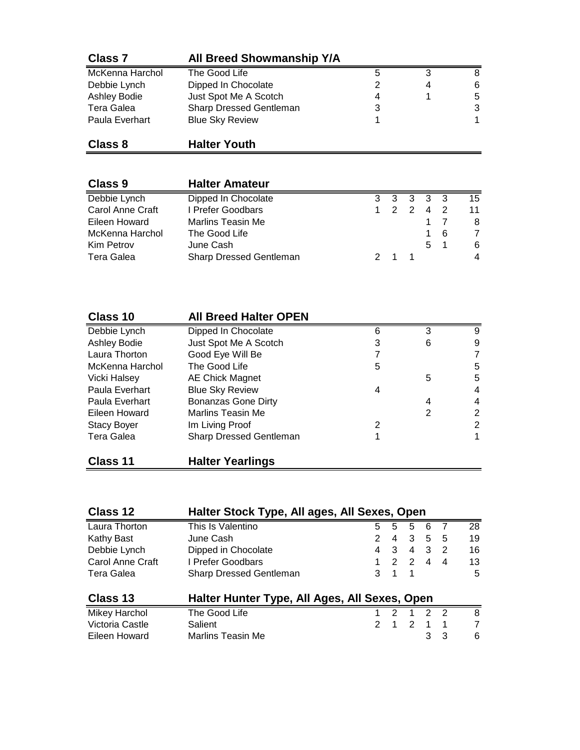| <b>Class 7</b>      | <b>All Breed Showmanship Y/A</b> |   |   |
|---------------------|----------------------------------|---|---|
| McKenna Harchol     | The Good Life                    |   | 8 |
| Debbie Lynch        | Dipped In Chocolate              | 4 | 6 |
| <b>Ashley Bodie</b> | Just Spot Me A Scotch            |   | 5 |
| Tera Galea          | Sharp Dressed Gentleman          |   | 3 |
| Paula Everhart      | <b>Blue Sky Review</b>           |   |   |

### **Class 8 Halter Youth**

|                | 15                                        |
|----------------|-------------------------------------------|
| $\overline{4}$ | 11                                        |
|                | 8                                         |
|                | -7                                        |
|                | 6                                         |
|                | $\overline{4}$                            |
| 122            | 3 3 3 3 3<br>$\overline{2}$<br>1 6<br>5 1 |

| Class 10            | <b>All Breed Halter OPEN</b> |   |   |   |
|---------------------|------------------------------|---|---|---|
| Debbie Lynch        | Dipped In Chocolate          | 6 | 3 | 9 |
| <b>Ashley Bodie</b> | Just Spot Me A Scotch        | 3 | 6 | 9 |
| Laura Thorton       | Good Eye Will Be             |   |   | 7 |
| McKenna Harchol     | The Good Life                | 5 |   | 5 |
| Vicki Halsey        | AE Chick Magnet              |   | 5 | 5 |
| Paula Everhart      | <b>Blue Sky Review</b>       | 4 |   | 4 |
| Paula Everhart      | <b>Bonanzas Gone Dirty</b>   |   | 4 | 4 |
| Eileen Howard       | Marlins Teasin Me            |   | 2 | 2 |
| <b>Stacy Boyer</b>  | Im Living Proof              | 2 |   | 2 |
| <b>Tera Galea</b>   | Sharp Dressed Gentleman      |   |   | 1 |
| Class 11            | <b>Halter Yearlings</b>      |   |   |   |

| Class 12         | Halter Stock Type, All ages, All Sexes, Open  |               |               |               |   |               |    |
|------------------|-----------------------------------------------|---------------|---------------|---------------|---|---------------|----|
| Laura Thorton    | This Is Valentino                             | 5.            | 5             | 5             | 6 | -7            | 28 |
| Kathy Bast       | June Cash                                     | $\mathcal{P}$ | 4             | 3             | 5 | 5             | 19 |
| Debbie Lynch     | Dipped in Chocolate                           |               | 3             | 4             | 3 | 2             | 16 |
| Carol Anne Craft | I Prefer Goodbars                             |               | $\mathcal{P}$ | $\mathcal{P}$ | 4 | 4             | 13 |
| Tera Galea       | Sharp Dressed Gentleman                       | 3             | 1             |               |   |               | 5  |
| Class 13         | Halter Hunter Type, All Ages, All Sexes, Open |               |               |               |   |               |    |
| Mikey Harchol    | The Good Life                                 |               | 2             |               | 2 | $\mathcal{P}$ | 8  |
| Victoria Castle  | Salient                                       | $\mathcal{P}$ | 1             | 2             |   | -1            | 7  |
| Eileen Howard    | Marlins Teasin Me                             |               |               |               | 3 | 3             | 6  |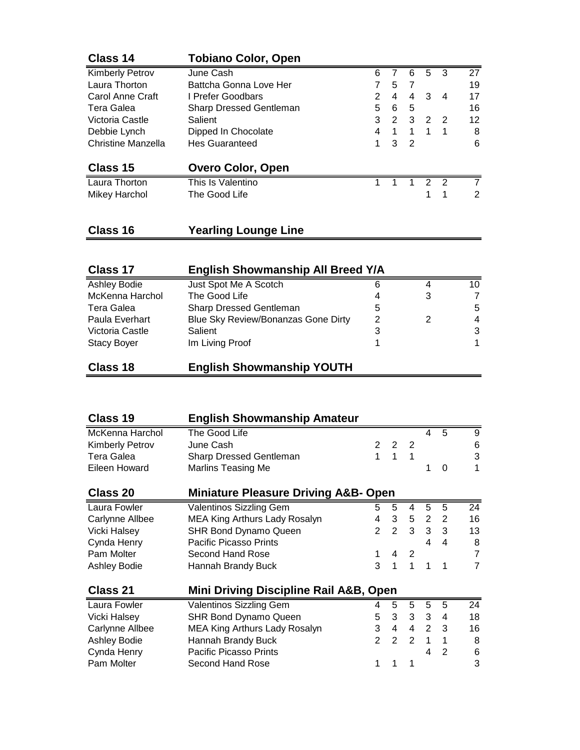| Class 14                  | <b>Tobiano Color, Open</b> |   |               |    |                 |    |    |
|---------------------------|----------------------------|---|---------------|----|-----------------|----|----|
| <b>Kimberly Petrov</b>    | June Cash                  | 6 | 7             | 6  | $5\overline{5}$ | 3  | 27 |
| Laura Thorton             | Battcha Gonna Love Her     |   | 5             | 7  |                 |    | 19 |
| Carol Anne Craft          | I Prefer Goodbars          | 2 | 4             | 4  | 3               | 4  | 17 |
| Tera Galea                | Sharp Dressed Gentleman    | 5 | 6             | 5  |                 |    | 16 |
| Victoria Castle           | Salient                    | 3 | $\mathcal{P}$ | 3  | 2               | 2  | 12 |
| Debbie Lynch              | Dipped In Chocolate        | 4 | 1             | 1  | -1              | -1 | 8  |
| <b>Christine Manzella</b> | <b>Hes Guaranteed</b>      |   | 3             | -2 |                 |    | 6  |
| Class 15                  | <b>Overo Color, Open</b>   |   |               |    |                 |    |    |
| Laura Thorton             | This Is Valentino          |   |               |    | $\mathcal{P}$   | -2 | 7  |
| <b>Mikey Harchol</b>      | The Good Life              |   |               |    | 1               | 1  | 2  |

# **Class 16 Yearling Lounge Line**

| Class 17            | <b>English Showmanship All Breed Y/A</b> |   |   |    |  |  |  |  |
|---------------------|------------------------------------------|---|---|----|--|--|--|--|
| <b>Ashley Bodie</b> | Just Spot Me A Scotch                    | 6 | 4 | 10 |  |  |  |  |
| McKenna Harchol     | The Good Life                            | 4 | 3 |    |  |  |  |  |
| Tera Galea          | Sharp Dressed Gentleman                  | 5 |   | 5  |  |  |  |  |
| Paula Everhart      | Blue Sky Review/Bonanzas Gone Dirty      | 2 |   | 4  |  |  |  |  |
| Victoria Castle     | Salient                                  | 3 |   | 3  |  |  |  |  |
| <b>Stacy Boyer</b>  | Im Living Proof                          |   |   |    |  |  |  |  |
|                     |                                          |   |   |    |  |  |  |  |

| Class 18 | <b>English Showmanship YOUTH</b> |
|----------|----------------------------------|
|          |                                  |

| Class 19               | <b>English Showmanship Amateur</b>              |               |                |                |                |          |                |
|------------------------|-------------------------------------------------|---------------|----------------|----------------|----------------|----------|----------------|
| McKenna Harchol        | The Good Life                                   |               |                |                | 4              | 5        | 9              |
| <b>Kimberly Petrov</b> | June Cash                                       | 2             | 2              | 2              |                |          | 6              |
| Tera Galea             | Sharp Dressed Gentleman                         | 1             | $\mathbf{1}$   | 1              |                |          | 3              |
| Eileen Howard          | <b>Marlins Teasing Me</b>                       |               |                |                | 1              | $\Omega$ |                |
| Class 20               | <b>Miniature Pleasure Driving A&amp;B- Open</b> |               |                |                |                |          |                |
| Laura Fowler           | Valentinos Sizzling Gem                         | 5             | 5              | 4              | 5              | 5        | 24             |
| Carlynne Allbee        | <b>MEA King Arthurs Lady Rosalyn</b>            | 4             | 3              | 5              | 2              | 2        | 16             |
| <b>Vicki Halsey</b>    | <b>SHR Bond Dynamo Queen</b>                    | $\mathcal{P}$ | 2              | 3              | 3              | 3        | 13             |
| Cynda Henry            | <b>Pacific Picasso Prints</b>                   |               |                |                | 4              | 4        | 8              |
| Pam Molter             | Second Hand Rose                                |               | 4              | 2              |                |          | 7              |
| <b>Ashley Bodie</b>    | Hannah Brandy Buck                              | 3             | 1              | 1              | 1              | 1        | $\overline{7}$ |
| Class 21               | Mini Driving Discipline Rail A&B, Open          |               |                |                |                |          |                |
| Laura Fowler           | Valentinos Sizzling Gem                         | 4             | 5              | 5              | 5              | 5        | 24             |
| <b>Vicki Halsey</b>    | <b>SHR Bond Dynamo Queen</b>                    | 5             | 3              | 3              | 3              | 4        | 18             |
| Carlynne Allbee        | <b>MEA King Arthurs Lady Rosalyn</b>            | 3             | $\overline{4}$ | $\overline{4}$ | $\overline{2}$ | 3        | 16             |
| <b>Ashley Bodie</b>    | Hannah Brandy Buck                              | $\mathcal{P}$ | 2              | 2              | $\mathbf{1}$   | 1        | 8              |
| Cynda Henry            | <b>Pacific Picasso Prints</b>                   |               |                |                | 4              | 2        | 6              |
| Pam Molter             | Second Hand Rose                                |               |                | 1              |                |          | 3              |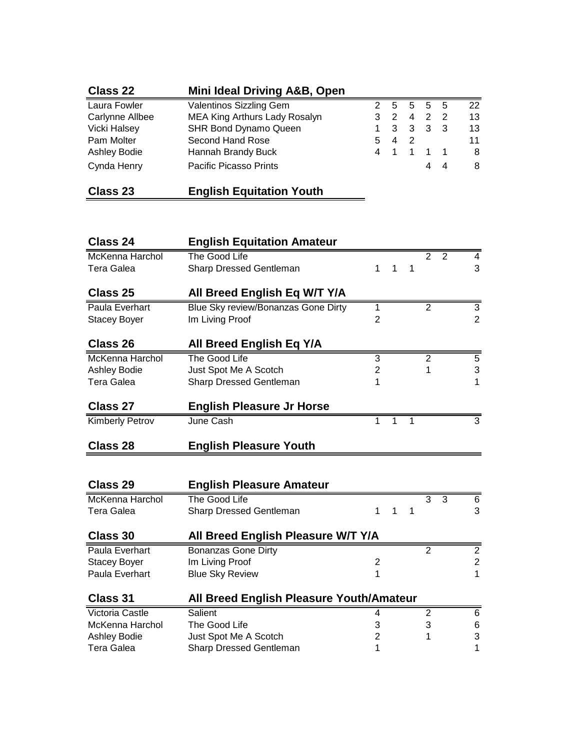| Class 22            | Mini Ideal Driving A&B, Open    |               |                |    |                         |                |    |
|---------------------|---------------------------------|---------------|----------------|----|-------------------------|----------------|----|
| Laura Fowler        | Valentinos Sizzling Gem         | $\mathcal{P}$ | 5              | 5  | 5                       | - 5            | 22 |
| Carlynne Allbee     | MEA King Arthurs Lady Rosalyn   |               | $\overline{2}$ | 4  | $\overline{2}$          | $\overline{2}$ | 13 |
| Vicki Halsey        | <b>SHR Bond Dynamo Queen</b>    |               | 3              | -3 | $\overline{\mathbf{3}}$ | -3             | 13 |
| Pam Molter          | Second Hand Rose                | 5.            | 4              | -2 |                         |                | 11 |
| <b>Ashley Bodie</b> | Hannah Brandy Buck              | 4             | -1             | 1  |                         |                | 8  |
| Cynda Henry         | <b>Pacific Picasso Prints</b>   |               |                |    | 4                       | 4              | 8  |
| Class 23            | <b>English Equitation Youth</b> |               |                |    |                         |                |    |

| <b>Class 24</b>        | <b>English Equitation Amateur</b>   |   |             |   |                |    |                |
|------------------------|-------------------------------------|---|-------------|---|----------------|----|----------------|
| McKenna Harchol        | The Good Life                       |   |             |   | 2              | -2 | 4              |
| Tera Galea             | Sharp Dressed Gentleman             | 1 | $\mathbf 1$ | 1 |                |    | 3              |
| Class 25               | All Breed English Eq W/T Y/A        |   |             |   |                |    |                |
| Paula Everhart         | Blue Sky review/Bonanzas Gone Dirty |   |             |   | 2              |    | 3              |
| <b>Stacey Boyer</b>    | Im Living Proof                     | 2 |             |   |                |    | $\overline{2}$ |
| <b>Class 26</b>        | All Breed English Eq Y/A            |   |             |   |                |    |                |
| McKenna Harchol        | The Good Life                       | 3 |             |   | $\overline{2}$ |    | 5              |
| <b>Ashley Bodie</b>    | Just Spot Me A Scotch               | 2 |             |   | 1              |    | 3              |
| Tera Galea             | Sharp Dressed Gentleman             |   |             |   |                |    | 1              |
| <b>Class 27</b>        | <b>English Pleasure Jr Horse</b>    |   |             |   |                |    |                |
| <b>Kimberly Petrov</b> | June Cash                           |   |             |   |                |    | 3              |
| Class 28               | <b>English Pleasure Youth</b>       |   |             |   |                |    |                |
|                        |                                     |   |             |   |                |    |                |

| Class 29            | <b>English Pleasure Amateur</b>          |   |        |   |
|---------------------|------------------------------------------|---|--------|---|
| McKenna Harchol     | The Good Life                            |   | 3<br>3 | 6 |
| <b>Tera Galea</b>   | Sharp Dressed Gentleman                  |   |        | 3 |
| Class 30            | All Breed English Pleasure W/T Y/A       |   |        |   |
| Paula Everhart      | <b>Bonanzas Gone Dirty</b>               |   | 2      | 2 |
| <b>Stacey Boyer</b> | Im Living Proof                          | 2 |        | 2 |
| Paula Everhart      | <b>Blue Sky Review</b>                   |   |        | 1 |
| Class 31            | All Breed English Pleasure Youth/Amateur |   |        |   |
| Victoria Castle     | Salient                                  |   |        | 6 |
| McKenna Harchol     | The Good Life                            | 3 | 3      | 6 |
| Ashley Bodie        | Just Spot Me A Scotch                    | 2 |        | 3 |
| Tera Galea          | Sharp Dressed Gentleman                  |   |        | 1 |
|                     |                                          |   |        |   |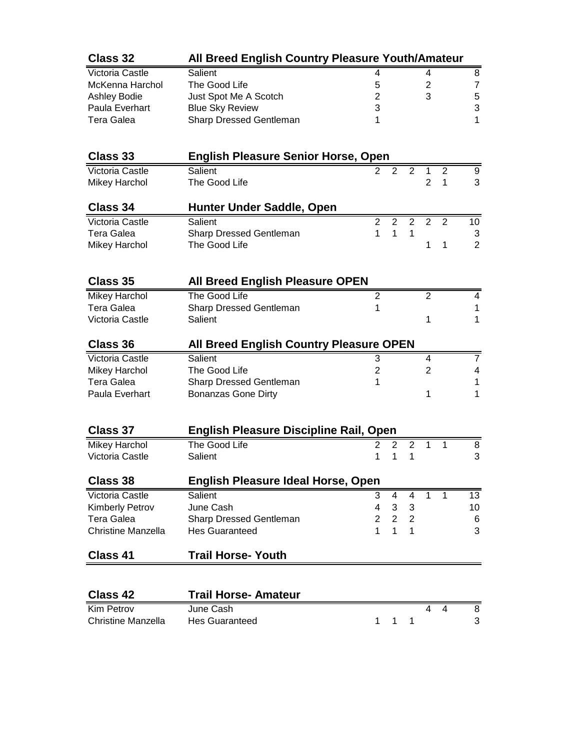| Class 32                  | All Breed English Country Pleasure Youth/Amateur |                |                |                |                |                |                           |
|---------------------------|--------------------------------------------------|----------------|----------------|----------------|----------------|----------------|---------------------------|
| Victoria Castle           | Salient                                          | 4              |                |                | 4              |                | 8                         |
| McKenna Harchol           | The Good Life                                    | 5              |                |                | $\overline{2}$ |                | $\overline{7}$            |
| Ashley Bodie              | Just Spot Me A Scotch                            | $\overline{2}$ |                |                | 3              |                | 5                         |
| Paula Everhart            | <b>Blue Sky Review</b>                           | 3              |                |                |                |                | $\ensuremath{\mathsf{3}}$ |
| Tera Galea                | Sharp Dressed Gentleman                          | 1              |                |                |                |                | 1                         |
|                           |                                                  |                |                |                |                |                |                           |
| Class 33                  | <b>English Pleasure Senior Horse, Open</b>       |                |                |                |                |                |                           |
| Victoria Castle           | Salient                                          | 2              | $\overline{2}$ | $\overline{2}$ | 1              | $\overline{2}$ | 9                         |
| <b>Mikey Harchol</b>      | The Good Life                                    |                |                |                | $\overline{2}$ | 1              | 3                         |
| Class 34                  | Hunter Under Saddle, Open                        |                |                |                |                |                |                           |
| Victoria Castle           | Salient                                          | $\overline{2}$ | $\overline{2}$ | $\overline{2}$ | $\overline{2}$ | $\overline{2}$ | 10                        |
| <b>Tera Galea</b>         | Sharp Dressed Gentleman                          | 1              | $\mathbf{1}$   | $\mathbf{1}$   |                |                | 3                         |
| <b>Mikey Harchol</b>      | The Good Life                                    |                |                |                | 1              | $\mathbf{1}$   | $\overline{2}$            |
|                           |                                                  |                |                |                |                |                |                           |
| Class 35                  | <b>All Breed English Pleasure OPEN</b>           |                |                |                |                |                |                           |
| <b>Mikey Harchol</b>      | The Good Life                                    | $\overline{2}$ |                |                | $\overline{2}$ |                | 4                         |
| <b>Tera Galea</b>         | Sharp Dressed Gentleman                          | 1              |                |                |                |                | 1                         |
| Victoria Castle           | Salient                                          |                |                |                | 1              |                | $\mathbf{1}$              |
| Class 36                  | <b>All Breed English Country Pleasure OPEN</b>   |                |                |                |                |                |                           |
| Victoria Castle           | Salient                                          | 3              |                |                | 4              |                | $\overline{7}$            |
| <b>Mikey Harchol</b>      | The Good Life                                    | $\overline{2}$ |                |                | $\overline{2}$ |                | 4                         |
| <b>Tera Galea</b>         | Sharp Dressed Gentleman                          | 1              |                |                |                |                | $\mathbf{1}$              |
| Paula Everhart            | <b>Bonanzas Gone Dirty</b>                       |                |                |                | 1              |                | 1                         |
|                           |                                                  |                |                |                |                |                |                           |
| <b>Class 37</b>           | <b>English Pleasure Discipline Rail, Open</b>    |                |                |                |                |                |                           |
| Mikey Harchol             | The Good Life                                    | 2              | $\overline{2}$ | $\overline{2}$ | 1              | 1              | 8                         |
| Victoria Castle           | Salient                                          | 1              | 1              | 1              |                |                | 3                         |
| <b>Class 38</b>           | <b>English Pleasure Ideal Horse, Open</b>        |                |                |                |                |                |                           |
| Victoria Castle           | Salient                                          | 3              | 4              | 4              | $\overline{1}$ | $\mathbf{1}$   | 13                        |
| Kimberly Petrov           | June Cash                                        | 4              | 3              | 3              |                |                | 10                        |
| <b>Tera Galea</b>         | Sharp Dressed Gentleman                          | 2              | $\overline{2}$ | $\overline{2}$ |                |                | 6                         |
| Christine Manzella        | <b>Hes Guaranteed</b>                            | 1              | 1              | 1              |                |                | 3                         |
| <b>Class 41</b>           | <b>Trail Horse- Youth</b>                        |                |                |                |                |                |                           |
|                           |                                                  |                |                |                |                |                |                           |
| <b>Class 42</b>           | <b>Trail Horse-Amateur</b>                       |                |                |                |                |                |                           |
| Kim Petrov                | June Cash                                        |                |                |                | 4              | 4              | 8                         |
| <b>Christine Manzella</b> | <b>Hes Guaranteed</b>                            | 1              | 1              | 1              |                |                | 3                         |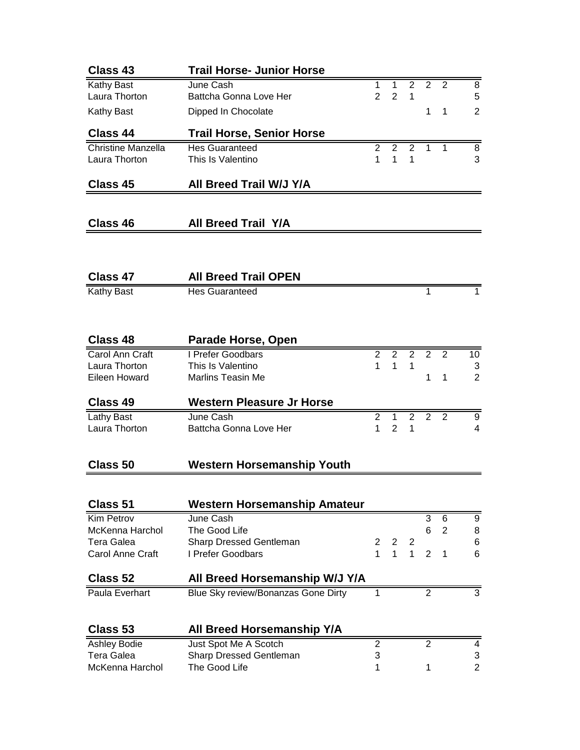| Class 43                  | <b>Trail Horse- Junior Horse</b>    |                |                |                |                |                |                 |
|---------------------------|-------------------------------------|----------------|----------------|----------------|----------------|----------------|-----------------|
| Kathy Bast                | June Cash                           | 1              | $\mathbf{1}$   | $\overline{2}$ | 2              | $\mathbf{2}$   | 8               |
| Laura Thorton             | Battcha Gonna Love Her              | $\overline{2}$ | $\overline{2}$ | 1              |                |                | 5               |
| Kathy Bast                | Dipped In Chocolate                 |                |                |                | 1              | $\mathbf 1$    | $\overline{2}$  |
| Class 44                  | <b>Trail Horse, Senior Horse</b>    |                |                |                |                |                |                 |
| <b>Christine Manzella</b> | <b>Hes Guaranteed</b>               | 2              | $\overline{2}$ | $\overline{2}$ | $\mathbf{1}$   | 1              | 8               |
| Laura Thorton             | This Is Valentino                   | 1              | 1              | 1              |                |                | 3               |
| Class 45                  | All Breed Trail W/J Y/A             |                |                |                |                |                |                 |
|                           |                                     |                |                |                |                |                |                 |
| Class 46                  | <b>All Breed Trail Y/A</b>          |                |                |                |                |                |                 |
|                           |                                     |                |                |                |                |                |                 |
| Class 47                  | <b>All Breed Trail OPEN</b>         |                |                |                |                |                |                 |
| Kathy Bast                | <b>Hes Guaranteed</b>               |                |                |                | $\mathbf{1}$   |                | $\mathbf{1}$    |
|                           |                                     |                |                |                |                |                |                 |
|                           |                                     |                |                |                |                |                |                 |
| Class 48                  | Parade Horse, Open                  |                |                |                |                |                |                 |
| Carol Ann Craft           | I Prefer Goodbars                   | $\overline{2}$ | $\overline{2}$ | $\overline{2}$ | $\overline{2}$ | $\overline{2}$ | 10 <sup>°</sup> |
| Laura Thorton             | This Is Valentino                   | $\mathbf 1$    | $\mathbf{1}$   | 1              |                |                | 3               |
| Eileen Howard             | <b>Marlins Teasin Me</b>            |                |                |                | 1              | 1              | $\overline{2}$  |
| Class 49                  | <b>Western Pleasure Jr Horse</b>    |                |                |                |                |                |                 |
| Lathy Bast                | June Cash                           | 2              | 1              | $\overline{2}$ | 2              | $\overline{2}$ | 9               |
| Laura Thorton             | Battcha Gonna Love Her              | 1              | $\overline{2}$ | 1              |                |                | 4               |
| <b>Class 50</b>           | <b>Western Horsemanship Youth</b>   |                |                |                |                |                |                 |
|                           |                                     |                |                |                |                |                |                 |
| Class 51                  | Western Horsemanship Amateur        |                |                |                |                |                |                 |
| Kim Petrov                | June Cash                           |                |                |                | 3              | 6              | 9               |
| McKenna Harchol           | The Good Life                       |                |                |                | 6              | 2              | 8               |
| <b>Tera Galea</b>         | Sharp Dressed Gentleman             | $\overline{2}$ | 2              | $\overline{2}$ |                |                | $\,6$           |
| Carol Anne Craft          | I Prefer Goodbars                   | 1              | $\mathbf{1}$   | $\mathbf{1}$   | 2              | 1              | $6\phantom{1}6$ |
| Class 52                  | All Breed Horsemanship W/J Y/A      |                |                |                |                |                |                 |
| Paula Everhart            | Blue Sky review/Bonanzas Gone Dirty | 1              |                |                | $\overline{2}$ |                | $\overline{3}$  |
| Class 53                  | All Breed Horsemanship Y/A          |                |                |                |                |                |                 |
| Ashley Bodie              | Just Spot Me A Scotch               | $\overline{2}$ |                |                | $\overline{2}$ |                | 4               |
| <b>Tera Galea</b>         | Sharp Dressed Gentleman             | 3              |                |                |                |                | 3               |
| McKenna Harchol           | The Good Life                       | 1              |                |                | 1              |                | $\overline{2}$  |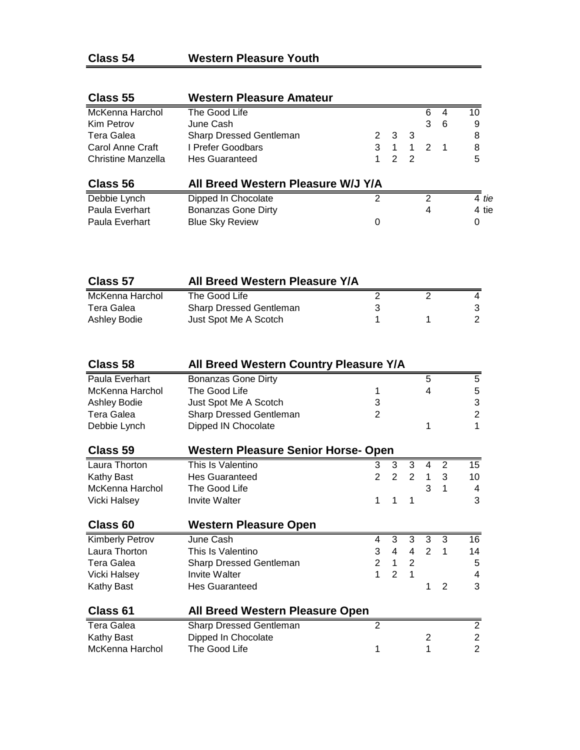# **Class 54 Western Pleasure Youth**

| Class 55                  | <b>Western Pleasure Amateur</b>    |   |                |     |                |     |       |
|---------------------------|------------------------------------|---|----------------|-----|----------------|-----|-------|
| McKenna Harchol           | The Good Life                      |   |                |     | 6              | 4   | 10    |
| Kim Petrov                | June Cash                          |   |                |     | 3              | -6  | 9     |
| Tera Galea                | Sharp Dressed Gentleman            |   | 3              | -3  |                |     | 8     |
| Carol Anne Craft          | I Prefer Goodbars                  | 3 | $\overline{1}$ | 1.  | $\overline{2}$ | - 1 | 8     |
| <b>Christine Manzella</b> | <b>Hes Guaranteed</b>              | 1 |                | 2 2 |                |     | 5     |
| Class 56                  | All Breed Western Pleasure W/J Y/A |   |                |     |                |     |       |
| Debbie Lynch              | Dipped In Chocolate                | 2 |                |     | $\mathcal{P}$  |     | 4 tie |
| Paula Everhart            | <b>Bonanzas Gone Dirty</b>         |   |                |     | 4              |     | 4 tie |
| Paula Everhart            | <b>Blue Sky Review</b>             | 0 |                |     |                |     | 0     |

| Class 57        | All Breed Western Pleasure Y/A |  |  |   |  |  |  |
|-----------------|--------------------------------|--|--|---|--|--|--|
| McKenna Harchol | The Good Life                  |  |  |   |  |  |  |
| Tera Galea      | <b>Sharp Dressed Gentleman</b> |  |  | 3 |  |  |  |
| Ashley Bodie    | Just Spot Me A Scotch          |  |  |   |  |  |  |

| All Breed Western Country Pleasure Y/A |                |                                 |                                     |                |   |                |  |
|----------------------------------------|----------------|---------------------------------|-------------------------------------|----------------|---|----------------|--|
| <b>Bonanzas Gone Dirty</b>             |                |                                 |                                     | 5              |   | 5              |  |
| The Good Life                          |                |                                 |                                     | 4              |   | 5              |  |
| Just Spot Me A Scotch                  | 3              |                                 |                                     |                |   | 3              |  |
| Sharp Dressed Gentleman                | 2              |                                 |                                     |                |   | $\overline{2}$ |  |
| Dipped IN Chocolate                    |                |                                 |                                     | 1              |   | 1              |  |
|                                        |                |                                 |                                     |                |   |                |  |
| This Is Valentino                      | 3              | 3                               | 3                                   | 4              | 2 | 15             |  |
| <b>Hes Guaranteed</b>                  | $\overline{2}$ | 2                               | 2                                   | 1              | 3 | 10             |  |
| The Good Life                          |                |                                 |                                     | 3              | 1 | 4              |  |
| <b>Invite Walter</b>                   | 1              | 1                               | 1                                   |                |   | 3              |  |
| Western Pleasure Open                  |                |                                 |                                     |                |   |                |  |
| June Cash                              | 4              | 3                               | 3                                   | 3              | 3 | 16             |  |
| This Is Valentino                      | 3              | $\overline{4}$                  | 4                                   | 2              | 1 | 14             |  |
| Sharp Dressed Gentleman                | 2              | 1                               | $\overline{2}$                      |                |   | 5              |  |
| <b>Invite Walter</b>                   | 1              | $\overline{2}$                  | 1                                   |                |   | 4              |  |
| <b>Hes Guaranteed</b>                  |                |                                 |                                     | 1              | 2 | 3              |  |
|                                        |                |                                 |                                     |                |   |                |  |
| Sharp Dressed Gentleman                | $\overline{2}$ |                                 |                                     |                |   | $\overline{2}$ |  |
| Dipped In Chocolate                    |                |                                 |                                     | $\overline{2}$ |   | $\overline{c}$ |  |
| The Good Life                          |                |                                 |                                     | 1              |   | $\overline{2}$ |  |
|                                        |                | All Breed Western Pleasure Open | Western Pleasure Senior Horse- Open |                |   |                |  |